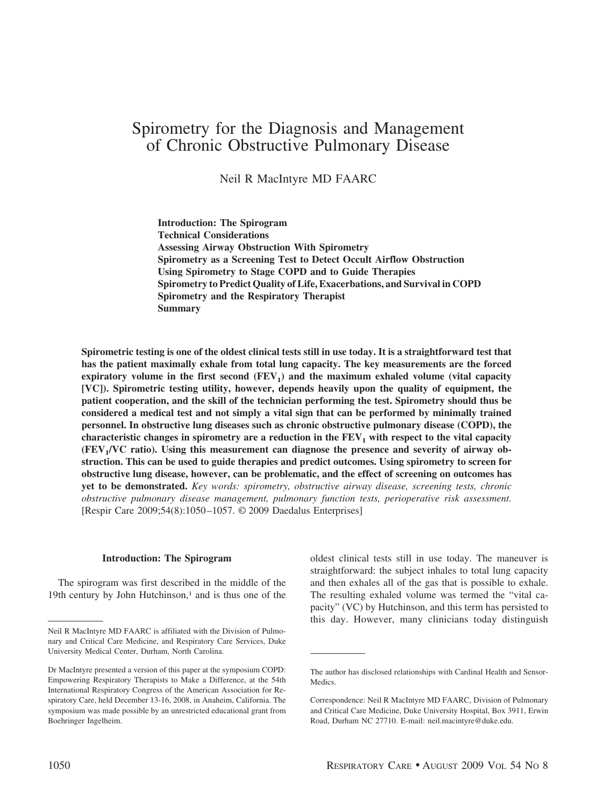# Spirometry for the Diagnosis and Management of Chronic Obstructive Pulmonary Disease

Neil R MacIntyre MD FAARC

**Introduction: The Spirogram Technical Considerations Assessing Airway Obstruction With Spirometry Spirometry as a Screening Test to Detect Occult Airflow Obstruction Using Spirometry to Stage COPD and to Guide Therapies Spirometry to Predict Quality of Life, Exacerbations, and Survival in COPD Spirometry and the Respiratory Therapist Summary**

**Spirometric testing is one of the oldest clinical tests still in use today. It is a straightforward test that has the patient maximally exhale from total lung capacity. The key measurements are the forced** expiratory volume in the first second  $(FEV<sub>1</sub>)$  and the maximum exhaled volume (vital capacity **[VC]). Spirometric testing utility, however, depends heavily upon the quality of equipment, the patient cooperation, and the skill of the technician performing the test. Spirometry should thus be considered a medical test and not simply a vital sign that can be performed by minimally trained personnel. In obstructive lung diseases such as chronic obstructive pulmonary disease (COPD), the** characteristic changes in spirometry are a reduction in the  $FEV<sub>1</sub>$  with respect to the vital capacity **(FEV1/VC ratio). Using this measurement can diagnose the presence and severity of airway obstruction. This can be used to guide therapies and predict outcomes. Using spirometry to screen for obstructive lung disease, however, can be problematic, and the effect of screening on outcomes has yet to be demonstrated.** *Key words: spirometry, obstructive airway disease, screening tests, chronic obstructive pulmonary disease management, pulmonary function tests, perioperative risk assessment.* [Respir Care 2009;54(8):1050 –1057. © 2009 Daedalus Enterprises]

#### **Introduction: The Spirogram**

The spirogram was first described in the middle of the 19th century by John Hutchinson, $<sup>1</sup>$  and is thus one of the</sup> oldest clinical tests still in use today. The maneuver is straightforward: the subject inhales to total lung capacity and then exhales all of the gas that is possible to exhale. The resulting exhaled volume was termed the "vital capacity" (VC) by Hutchinson, and this term has persisted to this day. However, many clinicians today distinguish

Neil R MacIntyre MD FAARC is affiliated with the Division of Pulmonary and Critical Care Medicine, and Respiratory Care Services, Duke University Medical Center, Durham, North Carolina.

Dr MacIntyre presented a version of this paper at the symposium COPD: Empowering Respiratory Therapists to Make a Difference, at the 54th International Respiratory Congress of the American Association for Respiratory Care, held December 13-16, 2008, in Anaheim, California. The symposium was made possible by an unrestricted educational grant from Boehringer Ingelheim.

The author has disclosed relationships with Cardinal Health and Sensor-Medics.

Correspondence: Neil R MacIntyre MD FAARC, Division of Pulmonary and Critical Care Medicine, Duke University Hospital, Box 3911, Erwin Road, Durham NC 27710. E-mail: neil.macintyre@duke.edu.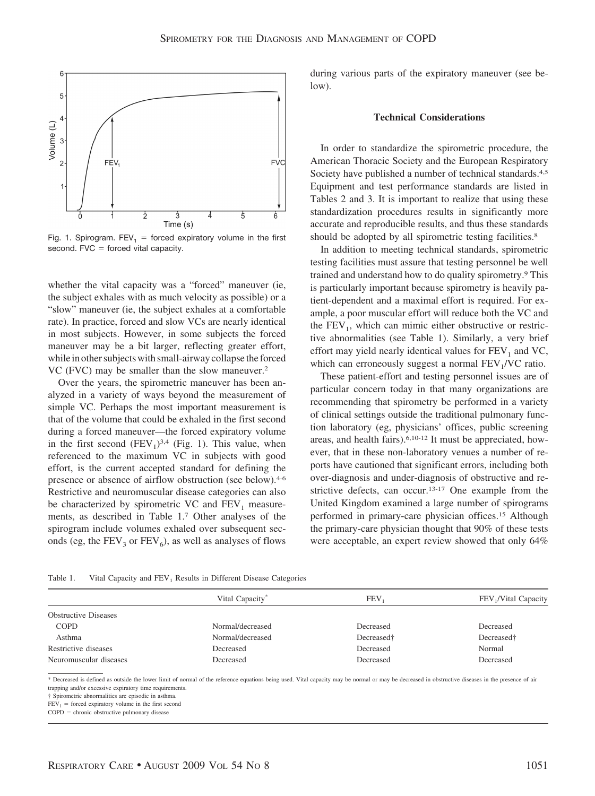

Fig. 1. Spirogram. FEV<sub>1</sub> = forced expiratory volume in the first second.  $FVC =$  forced vital capacity.

whether the vital capacity was a "forced" maneuver (ie, the subject exhales with as much velocity as possible) or a "slow" maneuver (ie, the subject exhales at a comfortable rate). In practice, forced and slow VCs are nearly identical in most subjects. However, in some subjects the forced maneuver may be a bit larger, reflecting greater effort, while in other subjects with small-airway collapse the forced VC (FVC) may be smaller than the slow maneuver.2

Over the years, the spirometric maneuver has been analyzed in a variety of ways beyond the measurement of simple VC. Perhaps the most important measurement is that of the volume that could be exhaled in the first second during a forced maneuver—the forced expiratory volume in the first second  $(FEV_1)^{3,4}$  (Fig. 1). This value, when referenced to the maximum VC in subjects with good effort, is the current accepted standard for defining the presence or absence of airflow obstruction (see below).4-6 Restrictive and neuromuscular disease categories can also be characterized by spirometric VC and  $FEV<sub>1</sub>$  measurements, as described in Table 1.7 Other analyses of the spirogram include volumes exhaled over subsequent seconds (eg, the  $FEV_3$  or  $FEV_6$ ), as well as analyses of flows during various parts of the expiratory maneuver (see below).

## **Technical Considerations**

In order to standardize the spirometric procedure, the American Thoracic Society and the European Respiratory Society have published a number of technical standards.<sup>4,5</sup> Equipment and test performance standards are listed in Tables 2 and 3. It is important to realize that using these standardization procedures results in significantly more accurate and reproducible results, and thus these standards should be adopted by all spirometric testing facilities.<sup>8</sup>

In addition to meeting technical standards, spirometric testing facilities must assure that testing personnel be well trained and understand how to do quality spirometry.9 This is particularly important because spirometry is heavily patient-dependent and a maximal effort is required. For example, a poor muscular effort will reduce both the VC and the  $FEV<sub>1</sub>$ , which can mimic either obstructive or restrictive abnormalities (see Table 1). Similarly, a very brief effort may yield nearly identical values for  $FEV<sub>1</sub>$  and VC, which can erroneously suggest a normal  $FEV<sub>1</sub>/VC$  ratio.

These patient-effort and testing personnel issues are of particular concern today in that many organizations are recommending that spirometry be performed in a variety of clinical settings outside the traditional pulmonary function laboratory (eg, physicians' offices, public screening areas, and health fairs).6,10-12 It must be appreciated, however, that in these non-laboratory venues a number of reports have cautioned that significant errors, including both over-diagnosis and under-diagnosis of obstructive and restrictive defects, can occur.13-17 One example from the United Kingdom examined a large number of spirograms performed in primary-care physician offices.15 Although the primary-care physician thought that 90% of these tests were acceptable, an expert review showed that only 64%

| Table 1. | Vital Capacity and FEV <sub>1</sub> Results in Different Disease Categories |  |
|----------|-----------------------------------------------------------------------------|--|
|----------|-----------------------------------------------------------------------------|--|

|                             | Vital Capacity <sup>®</sup> | <b>FEV</b>             | FEV <sub>1</sub> /Vital Capacity |
|-----------------------------|-----------------------------|------------------------|----------------------------------|
| <b>Obstructive Diseases</b> |                             |                        |                                  |
| <b>COPD</b>                 | Normal/decreased            | Decreased              | Decreased                        |
| Asthma                      | Normal/decreased            | Decreased <sup>+</sup> | Decreased <sup>†</sup>           |
| Restrictive diseases        | Decreased                   | Decreased              | Normal                           |
| Neuromuscular diseases      | Decreased                   | Decreased              | Decreased                        |

\* Decreased is defined as outside the lower limit of normal of the reference equations being used. Vital capacity may be normal or may be decreased in obstructive diseases in the presence of air trapping and/or excessive expiratory time requirements.

† Spirometric abnormalities are episodic in asthma.

 $FEV_1$  = forced expiratory volume in the first second

 $COPD =$  chronic obstructive pulmonary disease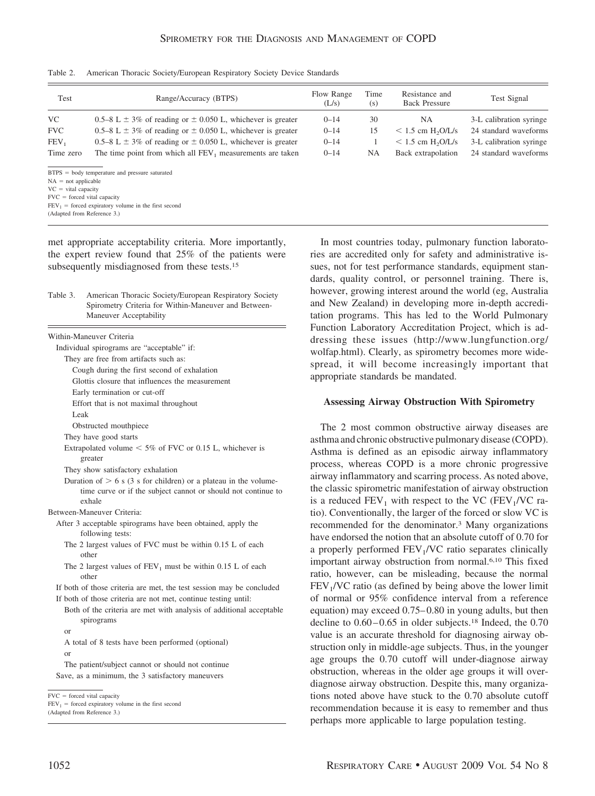| Test                          | Range/Accuracy (BTPS)                                                 | Flow Range<br>(L/s) | Time<br>(s) | Resistance and<br><b>Back Pressure</b> | Test Signal             |
|-------------------------------|-----------------------------------------------------------------------|---------------------|-------------|----------------------------------------|-------------------------|
| VC                            | 0.5–8 L $\pm$ 3% of reading or $\pm$ 0.050 L, whichever is greater    | $0 - 14$            | 30          | NA.                                    | 3-L calibration syringe |
| <b>FVC</b>                    | 0.5–8 L $\pm$ 3% of reading or $\pm$ 0.050 L, whichever is greater    | $0 - 14$            | 15          | $< 1.5$ cm H <sub>2</sub> O/L/s        | 24 standard waveforms   |
| FEV,                          | 0.5–8 L $\pm$ 3% of reading or $\pm$ 0.050 L, whichever is greater    | $0 - 14$            |             | $< 1.5$ cm H <sub>2</sub> O/L/s        | 3-L calibration syringe |
| Time zero                     | The time point from which all FEV <sub>1</sub> measurements are taken | $0 - 14$            | <b>NA</b>   | Back extrapolation                     | 24 standard waveforms   |
|                               | $BTPS = body$ temperature and pressure saturated                      |                     |             |                                        |                         |
| $NA = not applicable$         |                                                                       |                     |             |                                        |                         |
| $VC = vital capacity$         |                                                                       |                     |             |                                        |                         |
| $FVC = forced vital capacity$ |                                                                       |                     |             |                                        |                         |
|                               | $FEV_1$ = forced expiratory volume in the first second                |                     |             |                                        |                         |
| (Adapted from Reference 3.)   |                                                                       |                     |             |                                        |                         |

Table 2. American Thoracic Society/European Respiratory Society Device Standards

met appropriate acceptability criteria. More importantly, the expert review found that 25% of the patients were subsequently misdiagnosed from these tests.15

| Table 3. | American Thoracic Society/European Respiratory Society |
|----------|--------------------------------------------------------|
|          | Spirometry Criteria for Within-Maneuver and Between-   |
|          | Maneuver Acceptability                                 |

| Within-Maneuver Criteria                                                          |
|-----------------------------------------------------------------------------------|
| Individual spirograms are "acceptable" if:                                        |
| They are free from artifacts such as:                                             |
| Cough during the first second of exhalation                                       |
| Glottis closure that influences the measurement                                   |
| Early termination or cut-off                                                      |
| Effort that is not maximal throughout                                             |
| Leak                                                                              |
| Obstructed mouthpiece                                                             |
| They have good starts                                                             |
| Extrapolated volume $< 5\%$ of FVC or 0.15 L, whichever is<br>greater             |
| They show satisfactory exhalation                                                 |
| Duration of $> 6$ s (3 s for children) or a plateau in the volume-                |
| time curve or if the subject cannot or should not continue to<br>exhale           |
| Between-Maneuver Criteria:                                                        |
| After 3 acceptable spirograms have been obtained, apply the                       |
| following tests:                                                                  |
| The 2 largest values of FVC must be within 0.15 L of each<br>other                |
| The 2 largest values of $FEV_1$ must be within 0.15 L of each<br>other            |
| If both of those criteria are met, the test session may be concluded              |
| If both of those criteria are not met, continue testing until:                    |
| Both of the criteria are met with analysis of additional acceptable<br>spirograms |
| or                                                                                |
| A total of 8 tests have been performed (optional)                                 |
| $\alpha$                                                                          |
| The patient/subject cannot or should not continue                                 |

Save, as a minimum, the 3 satisfactory maneuvers

(Adapted from Reference 3.)

In most countries today, pulmonary function laboratories are accredited only for safety and administrative issues, not for test performance standards, equipment standards, quality control, or personnel training. There is, however, growing interest around the world (eg, Australia and New Zealand) in developing more in-depth accreditation programs. This has led to the World Pulmonary Function Laboratory Accreditation Project, which is addressing these issues (http://www.lungfunction.org/ wolfap.html). Clearly, as spirometry becomes more widespread, it will become increasingly important that appropriate standards be mandated.

## **Assessing Airway Obstruction With Spirometry**

The 2 most common obstructive airway diseases are asthma and chronic obstructive pulmonary disease (COPD). Asthma is defined as an episodic airway inflammatory process, whereas COPD is a more chronic progressive airway inflammatory and scarring process. As noted above, the classic spirometric manifestation of airway obstruction is a reduced  $FEV_1$  with respect to the VC ( $FEV_1/VC$  ratio). Conventionally, the larger of the forced or slow VC is recommended for the denominator.3 Many organizations have endorsed the notion that an absolute cutoff of 0.70 for a properly performed  $FEV<sub>1</sub>/VC$  ratio separates clinically important airway obstruction from normal.6,10 This fixed ratio, however, can be misleading, because the normal  $FEV<sub>1</sub>/VC$  ratio (as defined by being above the lower limit of normal or 95% confidence interval from a reference equation) may exceed 0.75– 0.80 in young adults, but then decline to  $0.60 - 0.65$  in older subjects.<sup>18</sup> Indeed, the  $0.70$ value is an accurate threshold for diagnosing airway obstruction only in middle-age subjects. Thus, in the younger age groups the 0.70 cutoff will under-diagnose airway obstruction, whereas in the older age groups it will overdiagnose airway obstruction. Despite this, many organizations noted above have stuck to the 0.70 absolute cutoff recommendation because it is easy to remember and thus perhaps more applicable to large population testing.

 $FVC = forced vital capacity$ 

 $FEV_1$  = forced expiratory volume in the first second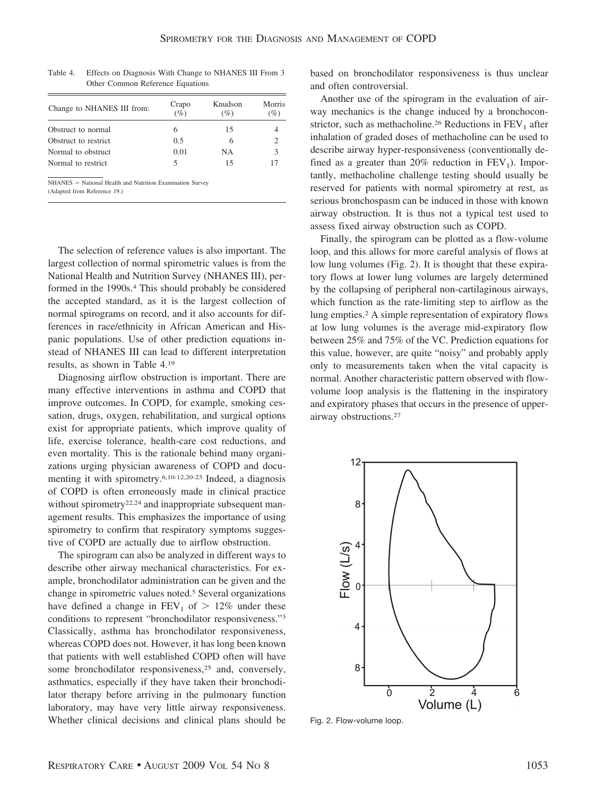| Change to NHANES III from: | Crapo<br>(%) | Knudson<br>(%) | Morris<br>(%) |
|----------------------------|--------------|----------------|---------------|
| Obstruct to normal         | 6            | 15             |               |
| Obstruct to restrict.      | 0.5          | 6              | 2             |
| Normal to obstruct         | 0.01         | NΑ             | 3             |
| Normal to restrict         |              | 15             |               |

Table 4. Effects on Diagnosis With Change to NHANES III From 3 Other Common Reference Equations

 $NHANES = National Health and Nutrition Examination Survey$ (Adapted from Reference 19.)

The selection of reference values is also important. The largest collection of normal spirometric values is from the National Health and Nutrition Survey (NHANES III), performed in the 1990s.<sup>4</sup> This should probably be considered the accepted standard, as it is the largest collection of normal spirograms on record, and it also accounts for differences in race/ethnicity in African American and Hispanic populations. Use of other prediction equations instead of NHANES III can lead to different interpretation results, as shown in Table 4.19

Diagnosing airflow obstruction is important. There are many effective interventions in asthma and COPD that improve outcomes. In COPD, for example, smoking cessation, drugs, oxygen, rehabilitation, and surgical options exist for appropriate patients, which improve quality of life, exercise tolerance, health-care cost reductions, and even mortality. This is the rationale behind many organizations urging physician awareness of COPD and documenting it with spirometry.6,10-12,20-23 Indeed, a diagnosis of COPD is often erroneously made in clinical practice without spirometry<sup>22,24</sup> and inappropriate subsequent management results. This emphasizes the importance of using spirometry to confirm that respiratory symptoms suggestive of COPD are actually due to airflow obstruction.

The spirogram can also be analyzed in different ways to describe other airway mechanical characteristics. For example, bronchodilator administration can be given and the change in spirometric values noted.5 Several organizations have defined a change in  $FEV_1$  of  $> 12\%$  under these conditions to represent "bronchodilator responsiveness."3 Classically, asthma has bronchodilator responsiveness, whereas COPD does not. However, it has long been known that patients with well established COPD often will have some bronchodilator responsiveness,<sup>25</sup> and, conversely, asthmatics, especially if they have taken their bronchodilator therapy before arriving in the pulmonary function laboratory, may have very little airway responsiveness. Whether clinical decisions and clinical plans should be

based on bronchodilator responsiveness is thus unclear and often controversial.

Another use of the spirogram in the evaluation of airway mechanics is the change induced by a bronchoconstrictor, such as methacholine.<sup>26</sup> Reductions in  $FEV<sub>1</sub>$  after inhalation of graded doses of methacholine can be used to describe airway hyper-responsiveness (conventionally defined as a greater than 20% reduction in  $FEV<sub>1</sub>$ ). Importantly, methacholine challenge testing should usually be reserved for patients with normal spirometry at rest, as serious bronchospasm can be induced in those with known airway obstruction. It is thus not a typical test used to assess fixed airway obstruction such as COPD.

Finally, the spirogram can be plotted as a flow-volume loop, and this allows for more careful analysis of flows at low lung volumes (Fig. 2). It is thought that these expiratory flows at lower lung volumes are largely determined by the collapsing of peripheral non-cartilaginous airways, which function as the rate-limiting step to airflow as the lung empties.2 A simple representation of expiratory flows at low lung volumes is the average mid-expiratory flow between 25% and 75% of the VC. Prediction equations for this value, however, are quite "noisy" and probably apply only to measurements taken when the vital capacity is normal. Another characteristic pattern observed with flowvolume loop analysis is the flattening in the inspiratory and expiratory phases that occurs in the presence of upperairway obstructions.27



Fig. 2. Flow-volume loop.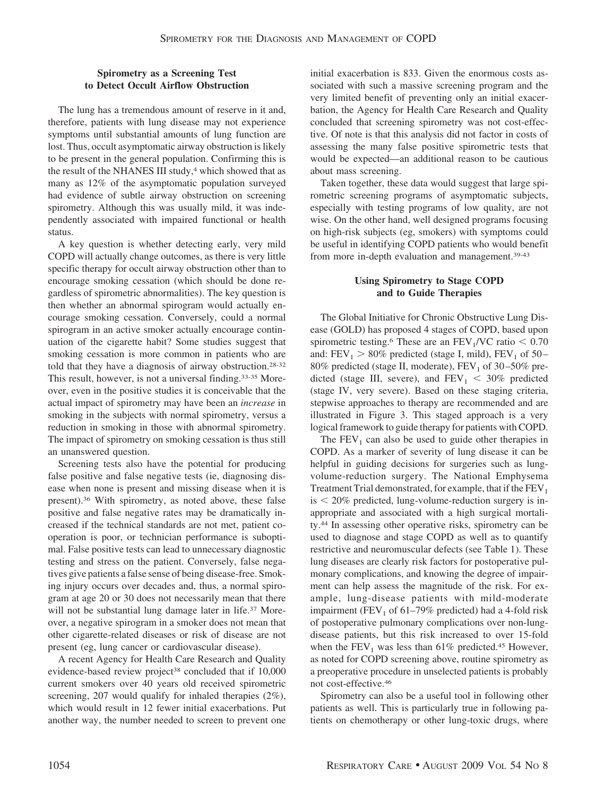# **Spirometry as a Screening Test to Detect Occult Airflow Obstruction**

The lung has a tremendous amount of reserve in it and, therefore, patients with lung disease may not experience symptoms until substantial amounts of lung function are lost. Thus, occult asymptomatic airway obstruction is likely to be present in the general population. Confirming this is the result of the NHANES III study,<sup>4</sup> which showed that as many as 12% of the asymptomatic population surveyed had evidence of subtle airway obstruction on screening spirometry. Although this was usually mild, it was independently associated with impaired functional or health status.

A key question is whether detecting early, very mild COPD will actually change outcomes, as there is very little specific therapy for occult airway obstruction other than to encourage smoking cessation (which should be done regardless of spirometric abnormalities). The key question is then whether an abnormal spirogram would actually encourage smoking cessation. Conversely, could a normal spirogram in an active smoker actually encourage continuation of the cigarette habit? Some studies suggest that smoking cessation is more common in patients who are told that they have a diagnosis of airway obstruction.28-32 This result, however, is not a universal finding.33-35 Moreover, even in the positive studies it is conceivable that the actual impact of spirometry may have been an *increase* in smoking in the subjects with normal spirometry, versus a reduction in smoking in those with abnormal spirometry. The impact of spirometry on smoking cessation is thus still an unanswered question.

Screening tests also have the potential for producing false positive and false negative tests (ie, diagnosing disease when none is present and missing disease when it is present).36 With spirometry, as noted above, these false positive and false negative rates may be dramatically increased if the technical standards are not met, patient cooperation is poor, or technician performance is suboptimal. False positive tests can lead to unnecessary diagnostic testing and stress on the patient. Conversely, false negatives give patients a false sense of being disease-free. Smoking injury occurs over decades and, thus, a normal spirogram at age 20 or 30 does not necessarily mean that there will not be substantial lung damage later in life.<sup>37</sup> Moreover, a negative spirogram in a smoker does not mean that other cigarette-related diseases or risk of disease are not present (eg, lung cancer or cardiovascular disease).

A recent Agency for Health Care Research and Quality evidence-based review project<sup>38</sup> concluded that if 10,000 current smokers over 40 years old received spirometric screening, 207 would qualify for inhaled therapies (2%), which would result in 12 fewer initial exacerbations. Put another way, the number needed to screen to prevent one initial exacerbation is 833. Given the enormous costs associated with such a massive screening program and the very limited benefit of preventing only an initial exacerbation, the Agency for Health Care Research and Quality concluded that screening spirometry was not cost-effective. Of note is that this analysis did not factor in costs of assessing the many false positive spirometric tests that would be expected—an additional reason to be cautious about mass screening.

Taken together, these data would suggest that large spirometric screening programs of asymptomatic subjects, especially with testing programs of low quality, are not wise. On the other hand, well designed programs focusing on high-risk subjects (eg, smokers) with symptoms could be useful in identifying COPD patients who would benefit from more in-depth evaluation and management.39-43

# **Using Spirometry to Stage COPD and to Guide Therapies**

The Global Initiative for Chronic Obstructive Lung Disease (GOLD) has proposed 4 stages of COPD, based upon spirometric testing.<sup>6</sup> These are an  $\text{FEV}_1/\text{VC}$  ratio  $\leq 0.70$ and:  $FEV_1 > 80\%$  predicted (stage I, mild),  $FEV_1$  of 50 – 80% predicted (stage II, moderate),  $FEV<sub>1</sub>$  of 30-50% predicted (stage III, severe), and  $\text{FEV}_1 < 30\%$  predicted (stage IV, very severe). Based on these staging criteria, stepwise approaches to therapy are recommended and are illustrated in Figure 3. This staged approach is a very logical framework to guide therapy for patients with COPD.

The  $FEV<sub>1</sub>$  can also be used to guide other therapies in COPD. As a marker of severity of lung disease it can be helpful in guiding decisions for surgeries such as lungvolume-reduction surgery. The National Emphysema Treatment Trial demonstrated, for example, that if the  $FEV<sub>1</sub>$  $is < 20\%$  predicted, lung-volume-reduction surgery is inappropriate and associated with a high surgical mortality.44 In assessing other operative risks, spirometry can be used to diagnose and stage COPD as well as to quantify restrictive and neuromuscular defects (see Table 1). These lung diseases are clearly risk factors for postoperative pulmonary complications, and knowing the degree of impairment can help assess the magnitude of the risk. For example, lung-disease patients with mild-moderate impairment (FEV<sub>1</sub> of 61–79% predicted) had a 4-fold risk of postoperative pulmonary complications over non-lungdisease patients, but this risk increased to over 15-fold when the  $FEV<sub>1</sub>$  was less than 61% predicted.<sup>45</sup> However, as noted for COPD screening above, routine spirometry as a preoperative procedure in unselected patients is probably not cost-effective.46

Spirometry can also be a useful tool in following other patients as well. This is particularly true in following patients on chemotherapy or other lung-toxic drugs, where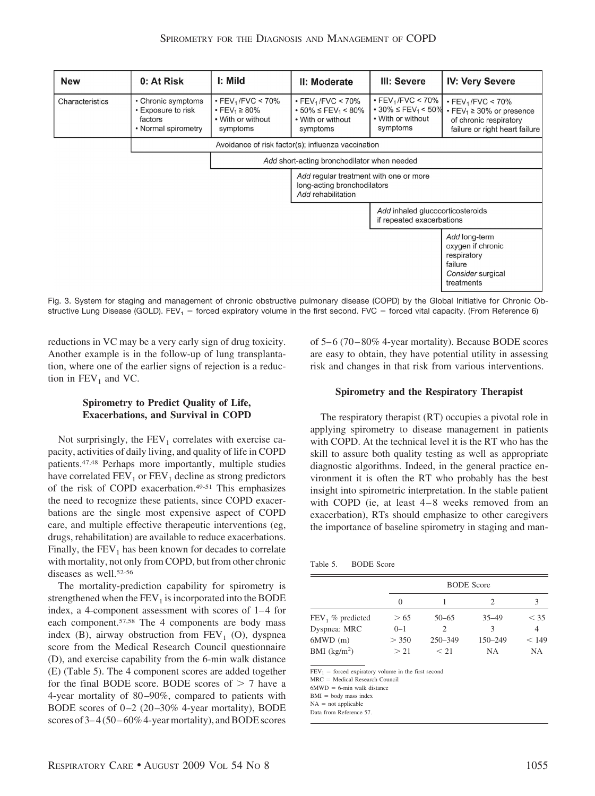| <b>New</b>      | 0: At Risk                                                                 | I: Mild                                                                                               | II: Moderate                                                                                                      | III: Severe                                                                                                       | <b>IV: Very Severe</b>                                                                                                                             |
|-----------------|----------------------------------------------------------------------------|-------------------------------------------------------------------------------------------------------|-------------------------------------------------------------------------------------------------------------------|-------------------------------------------------------------------------------------------------------------------|----------------------------------------------------------------------------------------------------------------------------------------------------|
| Characteristics | • Chronic symptoms<br>• Exposure to risk<br>factors<br>• Normal spirometry | $\cdot$ FEV <sub>1</sub> /FVC < 70%<br>• FEV <sub>1</sub> $\geq$ 80%<br>• With or without<br>symptoms | $\cdot$ FEV <sub>1</sub> /FVC < 70%<br>$\cdot$ 50% $\leq$ FEV <sub>1</sub> < 80%<br>• With or without<br>symptoms | $\cdot$ FEV <sub>1</sub> /FVC < 70%<br>$\cdot$ 30% $\leq$ FEV <sub>1</sub> < 50%<br>• With or without<br>symptoms | $\cdot$ FEV <sub>1</sub> /FVC < 70%<br>$\cdot$ FEV <sub>1</sub> $\geq$ 30% or presence<br>of chronic respiratory<br>failure or right heart failure |
|                 |                                                                            |                                                                                                       | Avoidance of risk factor(s); influenza vaccination                                                                |                                                                                                                   |                                                                                                                                                    |
|                 |                                                                            | Add short-acting bronchodilator when needed                                                           |                                                                                                                   |                                                                                                                   |                                                                                                                                                    |
|                 |                                                                            |                                                                                                       | Add regular treatment with one or more<br>long-acting bronchodilators<br>Add rehabilitation                       |                                                                                                                   |                                                                                                                                                    |
|                 |                                                                            |                                                                                                       |                                                                                                                   | Add inhaled glucocorticosteroids<br>if repeated exacerbations                                                     |                                                                                                                                                    |
|                 |                                                                            |                                                                                                       |                                                                                                                   |                                                                                                                   | Add long-term<br>oxygen if chronic<br>respiratory<br>failure<br>Consider surgical<br>treatments                                                    |

Fig. 3. System for staging and management of chronic obstructive pulmonary disease (COPD) by the Global Initiative for Chronic Obstructive Lung Disease (GOLD). FEV<sub>1</sub> = forced expiratory volume in the first second. FVC = forced vital capacity. (From Reference 6)

reductions in VC may be a very early sign of drug toxicity. Another example is in the follow-up of lung transplantation, where one of the earlier signs of rejection is a reduction in  $FEV_1$  and VC.

# **Spirometry to Predict Quality of Life, Exacerbations, and Survival in COPD**

Not surprisingly, the  $FEV<sub>1</sub>$  correlates with exercise capacity, activities of daily living, and quality of life in COPD patients.47,48 Perhaps more importantly, multiple studies have correlated  $FEV_1$  or  $FEV_1$  decline as strong predictors of the risk of COPD exacerbation.49-51 This emphasizes the need to recognize these patients, since COPD exacerbations are the single most expensive aspect of COPD care, and multiple effective therapeutic interventions (eg, drugs, rehabilitation) are available to reduce exacerbations. Finally, the  $FEV<sub>1</sub>$  has been known for decades to correlate with mortality, not only from COPD, but from other chronic diseases as well.52-56

The mortality-prediction capability for spirometry is strengthened when the  $FEV<sub>1</sub>$  is incorporated into the BODE index, a 4-component assessment with scores of 1-4 for each component.57,58 The 4 components are body mass index (B), airway obstruction from  $FEV<sub>1</sub>$  (O), dyspnea score from the Medical Research Council questionnaire (D), and exercise capability from the 6-min walk distance (E) (Table 5). The 4 component scores are added together for the final BODE score. BODE scores of  $> 7$  have a 4-year mortality of 80-90%, compared to patients with BODE scores of  $0-2$  (20 $-30\%$  4-year mortality), BODE scores of  $3-4(50-60\%$  4-year mortality), and BODE scores of 5– 6 (70 – 80% 4-year mortality). Because BODE scores are easy to obtain, they have potential utility in assessing risk and changes in that risk from various interventions.

## **Spirometry and the Respiratory Therapist**

The respiratory therapist (RT) occupies a pivotal role in applying spirometry to disease management in patients with COPD. At the technical level it is the RT who has the skill to assure both quality testing as well as appropriate diagnostic algorithms. Indeed, in the general practice environment it is often the RT who probably has the best insight into spirometric interpretation. In the stable patient with COPD (ie, at least  $4-8$  weeks removed from an exacerbation), RTs should emphasize to other caregivers the importance of baseline spirometry in staging and man-

|                     |         | <b>BODE</b> Score |           |        |  |  |
|---------------------|---------|-------------------|-----------|--------|--|--|
|                     | 0       |                   | 2         |        |  |  |
| $FEV_1$ % predicted | > 65    | $50 - 65$         | $35 - 49$ | $<$ 35 |  |  |
| Dyspnea: MRC        | $0 - 1$ | $\mathcal{D}$     | 3         |        |  |  |
| $6MWD$ (m)          | > 350   | $250 - 349$       | 150-249   | < 149  |  |  |
| BMI $(kg/m2)$       | > 21    | $<$ 2.1 $\,$      | NA        | NΑ     |  |  |

 $FEV_1$  = forced expiratory volume in the first second

 $MRC = Medical Research Council$ 

 $6MWD = 6$ -min walk distance

 $BMI = body$  mass index

 $NA = not a  
pplied be$ 

Data from Reference 57.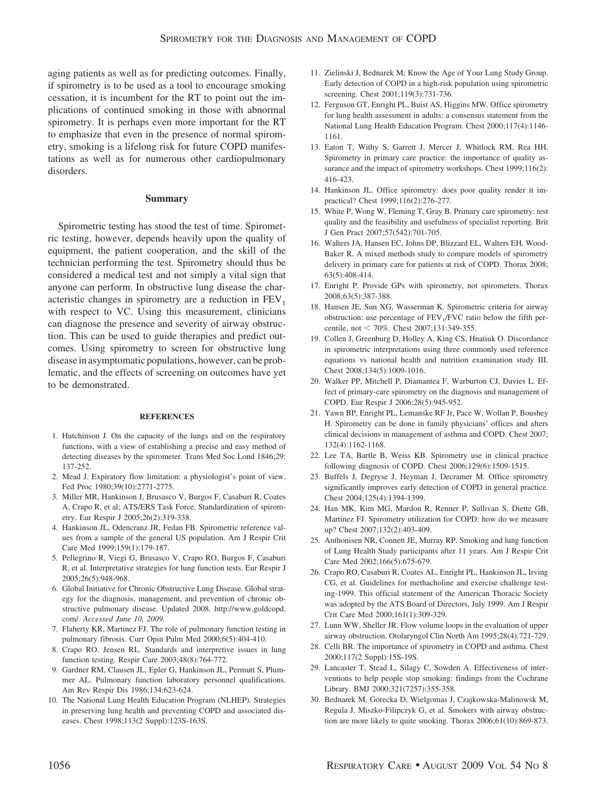aging patients as well as for predicting outcomes. Finally, if spirometry is to be used as a tool to encourage smoking cessation, it is incumbent for the RT to point out the implications of continued smoking in those with abnormal spirometry. It is perhaps even more important for the RT to emphasize that even in the presence of normal spirometry, smoking is a lifelong risk for future COPD manifestations as well as for numerous other cardiopulmonary disorders.

#### **Summary**

Spirometric testing has stood the test of time. Spirometric testing, however, depends heavily upon the quality of equipment, the patient cooperation, and the skill of the technician performing the test. Spirometry should thus be considered a medical test and not simply a vital sign that anyone can perform. In obstructive lung disease the characteristic changes in spirometry are a reduction in  $FEV<sub>1</sub>$ with respect to VC. Using this measurement, clinicians can diagnose the presence and severity of airway obstruction. This can be used to guide therapies and predict outcomes. Using spirometry to screen for obstructive lung disease in asymptomatic populations, however, can be problematic, and the effects of screening on outcomes have yet to be demonstrated.

#### **REFERENCES**

- 1. Hutchinson J. On the capacity of the lungs and on the respiratory functions, with a view of establishing a precise and easy method of detecting diseases by the spirometer. Trans Med Soc Lond 1846;29: 137-252.
- 2. Mead J. Expiratory flow limitation: a physiologist's point of view. Fed Proc 1980;39(10):2771-2775.
- 3. Miller MR, Hankinson J, Brusasco V, Burgos F, Casaburi R, Coates A, Crapo R, et al; ATS/ERS Task Force. Standardization of spirometry. Eur Respir J 2005;26(2):319-338.
- 4. Hankinson JL, Odencranz JR, Fedan FB. Spirometric reference values from a sample of the general US population. Am J Respir Crit Care Med 1999;159(1):179-187.
- 5. Pellegrino R, Viegi G, Brusasco V, Crapo RO, Burgos F, Casaburi R, et al. Interpretative strategies for lung function tests. Eur Respir J 2005;26(5):948-968.
- 6. Global Initiative for Chronic Obstructive Lung Disease. Global strategy for the diagnosis, management, and prevention of chronic obstructive pulmonary disease. Updated 2008. http://www.goldcopd. com/. *Accessed June 10, 2009.*
- 7. Flaherty KR, Martinez FJ. The role of pulmonary function testing in pulmonary fibrosis. Curr Opin Pulm Med 2000;6(5):404-410.
- 8. Crapo RO. Jensen RL. Standards and interpretive issues in lung function testing. Respir Care 2003;48(8):764-772.
- 9. Gardner RM, Clausen JL, Epler G, Hankinson JL, Permutt S, Plummer AL. Pulmonary function laboratory personnel qualifications. Am Rev Respir Dis 1986;134:623-624.
- 10. The National Lung Health Education Program (NLHEP). Strategies in preserving lung health and preventing COPD and associated diseases. Chest 1998;113(2 Suppl):123S-163S.
- 11. Zielinski J, Bednarek M; Know the Age of Your Lung Study Group. Early detection of COPD in a high-risk population using spirometric screening. Chest 2001;119(3):731-736.
- 12. Ferguson GT, Enright PL, Buist AS, Higgins MW. Office spirometry for lung health assessment in adults: a consensus statement from the National Lung Health Education Program. Chest 2000;117(4):1146- 1161.
- 13. Eaton T, Withy S, Garrett J, Mercer J, Whitlock RM, Rea HH. Spirometry in primary care practice: the importance of quality assurance and the impact of spirometry workshops. Chest 1999;116(2): 416-423.
- 14. Hankinson JL. Office spirometry: does poor quality render it impractical? Chest 1999;116(2):276-277.
- 15. White P, Wong W, Fleming T, Gray B. Primary care spirometry: test quality and the feasibility and usefulness of specialist reporting. Brit J Gen Pract 2007;57(542):701-705.
- 16. Walters JA, Hansen EC, Johns DP, Blizzard EL, Walters EH, Wood-Baker R. A mixed methods study to compare models of spirometry delivery in primary care for patients at risk of COPD. Thorax 2008; 63(5):408-414.
- 17. Enright P. Provide GPs with spirometry, not spirometers. Thorax 2008;63(5):387-388.
- 18. Hansen JE, Sun XG, Wasserman K. Spirometric criteria for airway obstruction: use percentage of  $FEV<sub>1</sub>/FVC$  ratio below the fifth percentile, not < 70%. Chest 2007;131:349-355.
- 19. Collen J, Greenburg D, Holley A, King CS, Hnatiuk O. Discordance in spirometric interpretations using three commonly used reference equations vs national health and nutrition examination study III. Chest 2008;134(5):1009-1016.
- 20. Walker PP, Mitchell P, Diamantea F, Warburton CJ, Davies L. Effect of primary-care spirometry on the diagnosis and management of COPD. Eur Respir J 2006;28(5):945-952.
- 21. Yawn BP, Enright PL, Lemanske RF Jr, Pace W, Wollan P, Boushey H. Spirometry can be done in family physicians' offices and alters clinical decisions in management of asthma and COPD. Chest 2007; 132(4):1162-1168.
- 22. Lee TA, Bartle B, Weiss KB. Spirometry use in clinical practice following diagnosis of COPD. Chest 2006;129(6):1509-1515.
- 23. Buffels J, Degryse J, Heyman J, Decramer M. Office spirometry significantly improves early detection of COPD in general practice. Chest 2004;125(4):1394-1399.
- 24. Han MK, Kim MG, Mardon R, Renner P, Sullivan S, Diette GB, Martinez FJ. Spirometry utilization for COPD: how do we measure up? Chest 2007;132(2):403-409.
- 25. Anthonisen NR, Connett JE, Murray RP. Smoking and lung function of Lung Health Study participants after 11 years. Am J Respir Crit Care Med 2002;166(5):675-679.
- 26. Crapo RO, Casaburi R, Coates AL, Enright PL, Hankinson JL, Irving CG, et al. Guidelines for methacholine and exercise challenge testing-1999. This official statement of the American Thoracic Society was adopted by the ATS Board of Directors, July 1999. Am J Respir Crit Care Med 2000;161(1):309-329.
- 27. Lunn WW, Sheller JR. Flow volume loops in the evaluation of upper airway obstruction. Otolaryngol Clin North Am 1995;28(4):721-729.
- 28. Celli BR. The importance of spirometry in COPD and asthma. Chest 2000;117(2 Suppl):15S-19S.
- 29. Lancaster T, Stead L, Silagy C, Sowden A. Effectiveness of interventions to help people stop smoking: findings from the Cochrane Library. BMJ 2000;321(7257):355-358.
- 30. Bednarek M, Gorecka D, Wielgomas J, Czajkowska-Malinowsk M, Regula J, Miszko-Filipczyk G, et al. Smokers with airway obstruction are more likely to quite smoking. Thorax 2006;61(10):869-873.